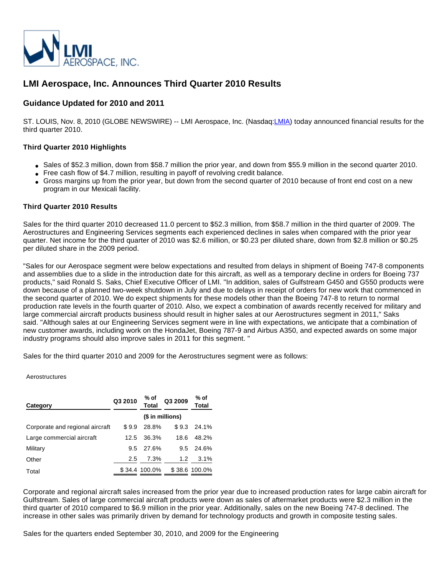

# **LMI Aerospace, Inc. Announces Third Quarter 2010 Results**

# **Guidance Updated for 2010 and 2011**

ST. LOUIS, Nov. 8, 2010 (GLOBE NEWSWIRE) -- LMI Aerospace, Inc. (Nasdaq[:LMIA\)](http://www.globenewswire.com/newsroom/headlines.html?symbol=LMIA) today announced financial results for the third quarter 2010.

# **Third Quarter 2010 Highlights**

- Sales of \$52.3 million, down from \$58.7 million the prior year, and down from \$55.9 million in the second quarter 2010.
- Free cash flow of \$4.7 million, resulting in payoff of revolving credit balance.
- Gross margins up from the prior year, but down from the second quarter of 2010 because of front end cost on a new program in our Mexicali facility.

# **Third Quarter 2010 Results**

Sales for the third quarter 2010 decreased 11.0 percent to \$52.3 million, from \$58.7 million in the third quarter of 2009. The Aerostructures and Engineering Services segments each experienced declines in sales when compared with the prior year quarter. Net income for the third quarter of 2010 was \$2.6 million, or \$0.23 per diluted share, down from \$2.8 million or \$0.25 per diluted share in the 2009 period.

"Sales for our Aerospace segment were below expectations and resulted from delays in shipment of Boeing 747-8 components and assemblies due to a slide in the introduction date for this aircraft, as well as a temporary decline in orders for Boeing 737 products," said Ronald S. Saks, Chief Executive Officer of LMI. "In addition, sales of Gulfstream G450 and G550 products were down because of a planned two-week shutdown in July and due to delays in receipt of orders for new work that commenced in the second quarter of 2010. We do expect shipments for these models other than the Boeing 747-8 to return to normal production rate levels in the fourth quarter of 2010. Also, we expect a combination of awards recently received for military and large commercial aircraft products business should result in higher sales at our Aerostructures segment in 2011," Saks said. "Although sales at our Engineering Services segment were in line with expectations, we anticipate that a combination of new customer awards, including work on the HondaJet, Boeing 787-9 and Airbus A350, and expected awards on some major industry programs should also improve sales in 2011 for this segment. "

Sales for the third quarter 2010 and 2009 for the Aerostructures segment were as follows:

#### Aerostructures

| Category                        | Q3 2010 | % of<br>Total    | Q3 2009          | % of<br>Total |  |
|---------------------------------|---------|------------------|------------------|---------------|--|
|                                 |         | (\$ in millions) |                  |               |  |
| Corporate and regional aircraft | \$9.9   | 28.8%            |                  | $$9.3$ 24.1%  |  |
| Large commercial aircraft       | 12.5    | 36.3%            | 18.6             | 48.2%         |  |
| Military                        | 9.5     | 27.6%            |                  | 9.5 24.6%     |  |
| Other                           | 2.5     | 7.3%             | 1.2 <sub>1</sub> | 3.1%          |  |
| Total                           |         | \$34.4 100.0%    |                  | \$38.6 100.0% |  |

Corporate and regional aircraft sales increased from the prior year due to increased production rates for large cabin aircraft for Gulfstream. Sales of large commercial aircraft products were down as sales of aftermarket products were \$2.3 million in the third quarter of 2010 compared to \$6.9 million in the prior year. Additionally, sales on the new Boeing 747-8 declined. The increase in other sales was primarily driven by demand for technology products and growth in composite testing sales.

Sales for the quarters ended September 30, 2010, and 2009 for the Engineering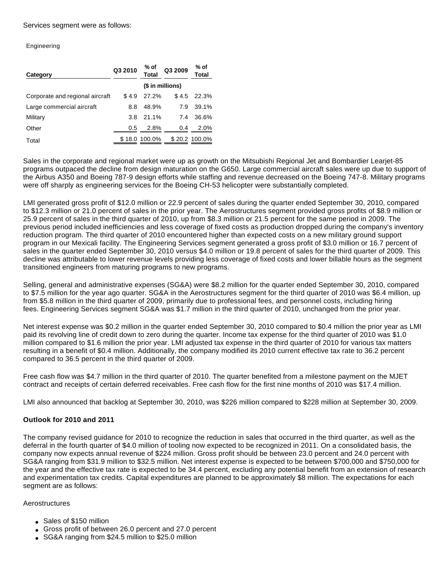Services segment were as follows:

Engineering

| Category                        | Q3 2010 | % of<br>Total    | Q3 2009 | % of<br>Total |  |
|---------------------------------|---------|------------------|---------|---------------|--|
|                                 |         | (\$ in millions) |         |               |  |
| Corporate and regional aircraft | \$4.9   | 27.2%            | \$4.5   | 22.3%         |  |
| Large commercial aircraft       | 8.8     | 48.9%            | 7.9     | 39.1%         |  |
| Military                        | 3.8     | 21.1%            | 7.4     | 36.6%         |  |
| Other                           | 0.5     | 2.8%             | 0.4     | 2.0%          |  |
| Total                           |         | \$18.0 100.0%    |         | \$20.2 100.0% |  |

Sales in the corporate and regional market were up as growth on the Mitsubishi Regional Jet and Bombardier Learjet-85 programs outpaced the decline from design maturation on the G650. Large commercial aircraft sales were up due to support of the Airbus A350 and Boeing 787-9 design efforts while staffing and revenue decreased on the Boeing 747-8. Military programs were off sharply as engineering services for the Boeing CH-53 helicopter were substantially completed.

LMI generated gross profit of \$12.0 million or 22.9 percent of sales during the quarter ended September 30, 2010, compared to \$12.3 million or 21.0 percent of sales in the prior year. The Aerostructures segment provided gross profits of \$8.9 million or 25.9 percent of sales in the third quarter of 2010, up from \$8.3 million or 21.5 percent for the same period in 2009. The previous period included inefficiencies and less coverage of fixed costs as production dropped during the company's inventory reduction program. The third quarter of 2010 encountered higher than expected costs on a new military ground support program in our Mexicali facility. The Engineering Services segment generated a gross profit of \$3.0 million or 16.7 percent of sales in the quarter ended September 30, 2010 versus \$4.0 million or 19.8 percent of sales for the third quarter of 2009. This decline was attributable to lower revenue levels providing less coverage of fixed costs and lower billable hours as the segment transitioned engineers from maturing programs to new programs.

Selling, general and administrative expenses (SG&A) were \$8.2 million for the quarter ended September 30, 2010, compared to \$7.5 million for the year ago quarter. SG&A in the Aerostructures segment for the third quarter of 2010 was \$6.4 million, up from \$5.8 million in the third quarter of 2009, primarily due to professional fees, and personnel costs, including hiring fees. Engineering Services segment SG&A was \$1.7 million in the third quarter of 2010, unchanged from the prior year.

Net interest expense was \$0.2 million in the quarter ended September 30, 2010 compared to \$0.4 million the prior year as LMI paid its revolving line of credit down to zero during the quarter. Income tax expense for the third quarter of 2010 was \$1.0 million compared to \$1.6 million the prior year. LMI adjusted tax expense in the third quarter of 2010 for various tax matters resulting in a benefit of \$0.4 million. Additionally, the company modified its 2010 current effective tax rate to 36.2 percent compared to 36.5 percent in the third quarter of 2009.

Free cash flow was \$4.7 million in the third quarter of 2010. The quarter benefited from a milestone payment on the MJET contract and receipts of certain deferred receivables. Free cash flow for the first nine months of 2010 was \$17.4 million.

LMI also announced that backlog at September 30, 2010, was \$226 million compared to \$228 million at September 30, 2009.

# **Outlook for 2010 and 2011**

The company revised guidance for 2010 to recognize the reduction in sales that occurred in the third quarter, as well as the deferral in the fourth quarter of \$4.0 million of tooling now expected to be recognized in 2011. On a consolidated basis, the company now expects annual revenue of \$224 million. Gross profit should be between 23.0 percent and 24.0 percent with SG&A ranging from \$31.9 million to \$32.5 million. Net interest expense is expected to be between \$700,000 and \$750,000 for the year and the effective tax rate is expected to be 34.4 percent, excluding any potential benefit from an extension of research and experimentation tax credits. Capital expenditures are planned to be approximately \$8 million. The expectations for each segment are as follows:

# Aerostructures

- Sales of \$150 million
- Gross profit of between 26.0 percent and 27.0 percent
- SG&A ranging from \$24.5 million to \$25.0 million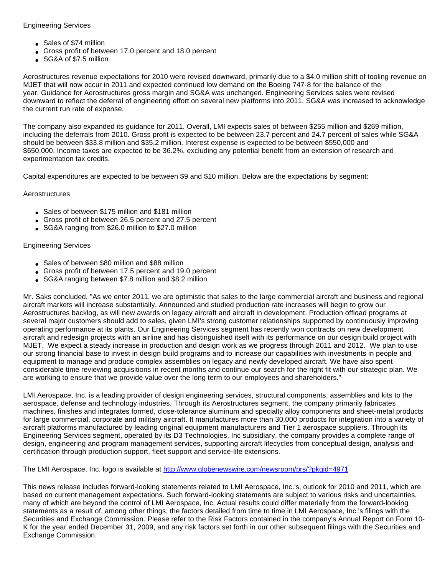# Engineering Services

- Sales of \$74 million
- Gross profit of between 17.0 percent and 18.0 percent
- SG&A of \$7.5 million

Aerostructures revenue expectations for 2010 were revised downward, primarily due to a \$4.0 million shift of tooling revenue on MJET that will now occur in 2011 and expected continued low demand on the Boeing 747-8 for the balance of the year. Guidance for Aerostructures gross margin and SG&A was unchanged. Engineering Services sales were revised downward to reflect the deferral of engineering effort on several new platforms into 2011. SG&A was increased to acknowledge the current run rate of expense.

The company also expanded its guidance for 2011. Overall, LMI expects sales of between \$255 million and \$269 million, including the deferrals from 2010. Gross profit is expected to be between 23.7 percent and 24.7 percent of sales while SG&A should be between \$33.8 million and \$35.2 million. Interest expense is expected to be between \$550,000 and \$650,000. Income taxes are expected to be 36.2%, excluding any potential benefit from an extension of research and experimentation tax credits.

Capital expenditures are expected to be between \$9 and \$10 million. Below are the expectations by segment:

# Aerostructures

- Sales of between \$175 million and \$181 million
- Gross profit of between 26.5 percent and 27.5 percent
- SG&A ranging from \$26.0 million to \$27.0 million

# Engineering Services

- Sales of between \$80 million and \$88 million
- Gross profit of between 17.5 percent and 19.0 percent
- SG&A ranging between \$7.8 million and \$8.2 million

Mr. Saks concluded, "As we enter 2011, we are optimistic that sales to the large commercial aircraft and business and regional aircraft markets will increase substantially. Announced and studied production rate increases will begin to grow our Aerostructures backlog, as will new awards on legacy aircraft and aircraft in development. Production offload programs at several major customers should add to sales, given LMI's strong customer relationships supported by continuously improving operating performance at its plants. Our Engineering Services segment has recently won contracts on new development aircraft and redesign projects with an airline and has distinguished itself with its performance on our design build project with MJET. We expect a steady increase in production and design work as we progress through 2011 and 2012. We plan to use our strong financial base to invest in design build programs and to increase our capabilities with investments in people and equipment to manage and produce complex assemblies on legacy and newly developed aircraft. We have also spent considerable time reviewing acquisitions in recent months and continue our search for the right fit with our strategic plan. We are working to ensure that we provide value over the long term to our employees and shareholders."

LMI Aerospace, Inc. is a leading provider of design engineering services, structural components, assemblies and kits to the aerospace, defense and technology industries. Through its Aerostructures segment, the company primarily fabricates machines, finishes and integrates formed, close-tolerance aluminum and specialty alloy components and sheet-metal products for large commercial, corporate and military aircraft. It manufactures more than 30,000 products for integration into a variety of aircraft platforms manufactured by leading original equipment manufacturers and Tier 1 aerospace suppliers. Through its Engineering Services segment, operated by its D3 Technologies, Inc subsidiary, the company provides a complete range of design, engineering and program management services, supporting aircraft lifecycles from conceptual design, analysis and certification through production support, fleet support and service-life extensions.

The LMI Aerospace, Inc. logo is available at [http://www.globenewswire.com/newsroom/prs/?pkgid=4971](http://www.globenewswire.com/newsroom/ctr?d=206297&l=27&u=http%3A%2F%2Fwww.globenewswire.com%2Fnewsroom%2Fprs%2F%3Fpkgid%3D4971)

This news release includes forward-looking statements related to LMI Aerospace, Inc.'s, outlook for 2010 and 2011, which are based on current management expectations. Such forward-looking statements are subject to various risks and uncertainties, many of which are beyond the control of LMI Aerospace, Inc. Actual results could differ materially from the forward-looking statements as a result of, among other things, the factors detailed from time to time in LMI Aerospace, Inc.'s filings with the Securities and Exchange Commission. Please refer to the Risk Factors contained in the company's Annual Report on Form 10- K for the year ended December 31, 2009, and any risk factors set forth in our other subsequent filings with the Securities and Exchange Commission.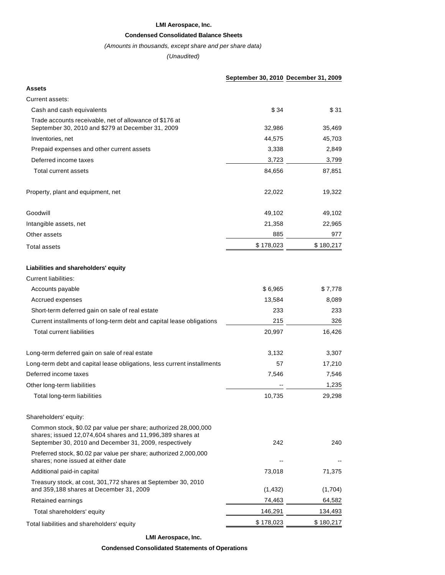#### **LMI Aerospace, Inc.**

### **Condensed Consolidated Balance Sheets**

### (Amounts in thousands, except share and per share data)

(Unaudited)

|                                                                                                                                                                                        | September 30, 2010 December 31, 2009 |           |
|----------------------------------------------------------------------------------------------------------------------------------------------------------------------------------------|--------------------------------------|-----------|
| <b>Assets</b>                                                                                                                                                                          |                                      |           |
| Current assets:                                                                                                                                                                        |                                      |           |
| Cash and cash equivalents                                                                                                                                                              | \$34                                 | \$31      |
| Trade accounts receivable, net of allowance of \$176 at<br>September 30, 2010 and \$279 at December 31, 2009                                                                           | 32,986                               | 35,469    |
| Inventories, net                                                                                                                                                                       | 44,575                               | 45,703    |
| Prepaid expenses and other current assets                                                                                                                                              | 3,338                                | 2,849     |
| Deferred income taxes                                                                                                                                                                  | 3,723                                | 3,799     |
| <b>Total current assets</b>                                                                                                                                                            | 84,656                               | 87,851    |
| Property, plant and equipment, net                                                                                                                                                     | 22,022                               | 19,322    |
| Goodwill                                                                                                                                                                               | 49,102                               | 49,102    |
| Intangible assets, net                                                                                                                                                                 | 21,358                               | 22,965    |
| Other assets                                                                                                                                                                           | 885                                  | 977       |
| <b>Total assets</b>                                                                                                                                                                    | \$178,023                            | \$180,217 |
| Liabilities and shareholders' equity                                                                                                                                                   |                                      |           |
| <b>Current liabilities:</b>                                                                                                                                                            |                                      |           |
| Accounts payable                                                                                                                                                                       | \$6,965                              | \$7,778   |
| Accrued expenses                                                                                                                                                                       | 13,584                               | 8,089     |
| Short-term deferred gain on sale of real estate                                                                                                                                        | 233                                  | 233       |
| Current installments of long-term debt and capital lease obligations                                                                                                                   | 215                                  | 326       |
| <b>Total current liabilities</b>                                                                                                                                                       | 20,997                               | 16,426    |
| Long-term deferred gain on sale of real estate                                                                                                                                         | 3,132                                | 3,307     |
| Long-term debt and capital lease obligations, less current installments                                                                                                                | 57                                   | 17,210    |
| Deferred income taxes                                                                                                                                                                  | 7,546                                | 7,546     |
| Other long-term liabilities                                                                                                                                                            |                                      | 1,235     |
| Total long-term liabilities                                                                                                                                                            | 10,735                               | 29,298    |
| Shareholders' equity:                                                                                                                                                                  |                                      |           |
| Common stock, \$0.02 par value per share; authorized 28,000,000<br>shares; issued 12,074,604 shares and 11,996,389 shares at<br>September 30, 2010 and December 31, 2009, respectively | 242                                  | 240       |
| Preferred stock, \$0.02 par value per share; authorized 2,000,000<br>shares; none issued at either date                                                                                |                                      |           |
| Additional paid-in capital                                                                                                                                                             | 73,018                               | 71,375    |
| Treasury stock, at cost, 301, 772 shares at September 30, 2010<br>and 359,188 shares at December 31, 2009                                                                              | (1, 432)                             | (1,704)   |
| Retained earnings                                                                                                                                                                      | 74,463                               | 64,582    |
| Total shareholders' equity                                                                                                                                                             | 146,291                              | 134,493   |
| Total liabilities and shareholders' equity                                                                                                                                             | \$178,023                            | \$180,217 |
|                                                                                                                                                                                        |                                      |           |

**LMI Aerospace, Inc.**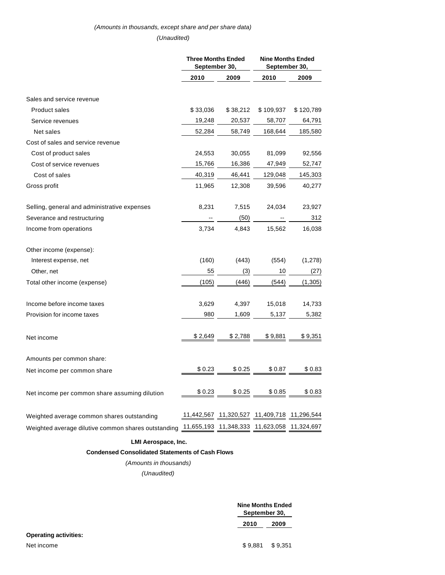# (Amounts in thousands, except share and per share data) (Unaudited)

|                                                                                                 | <b>Three Months Ended</b><br>September 30, |          | <b>Nine Months Ended</b><br>September 30,   |           |
|-------------------------------------------------------------------------------------------------|--------------------------------------------|----------|---------------------------------------------|-----------|
|                                                                                                 | 2010                                       | 2009     | 2010                                        | 2009      |
| Sales and service revenue                                                                       |                                            |          |                                             |           |
| <b>Product sales</b>                                                                            | \$33,036                                   | \$38,212 | \$109,937                                   | \$120,789 |
| Service revenues                                                                                | 19,248                                     | 20,537   | 58,707                                      | 64,791    |
| Net sales                                                                                       | 52,284                                     | 58,749   | 168,644                                     | 185,580   |
| Cost of sales and service revenue                                                               |                                            |          |                                             |           |
| Cost of product sales                                                                           | 24,553                                     | 30,055   | 81,099                                      | 92,556    |
| Cost of service revenues                                                                        | 15,766                                     | 16,386   | 47,949                                      | 52,747    |
| Cost of sales                                                                                   | 40,319                                     | 46,441   | 129,048                                     | 145,303   |
| Gross profit                                                                                    | 11,965                                     | 12,308   | 39,596                                      | 40,277    |
| Selling, general and administrative expenses                                                    | 8,231                                      | 7,515    | 24,034                                      | 23,927    |
| Severance and restructuring                                                                     |                                            | (50)     |                                             | 312       |
| Income from operations                                                                          | 3,734                                      | 4,843    | 15,562                                      | 16,038    |
| Other income (expense):                                                                         |                                            |          |                                             |           |
| Interest expense, net                                                                           | (160)                                      | (443)    | (554)                                       | (1,278)   |
| Other, net                                                                                      | 55                                         | (3)      | 10                                          | (27)      |
| Total other income (expense)                                                                    | (105)                                      | (446)    | (544)                                       | (1, 305)  |
| Income before income taxes                                                                      | 3,629                                      | 4,397    | 15,018                                      | 14,733    |
| Provision for income taxes                                                                      | 980                                        | 1,609    | 5,137                                       | 5,382     |
| Net income                                                                                      | \$2,649                                    | \$2,788  | \$9,881                                     | \$9,351   |
| Amounts per common share:                                                                       |                                            |          |                                             |           |
| Net income per common share                                                                     | \$0.23                                     | \$0.25   | \$0.87                                      | \$0.83    |
| Net income per common share assuming dilution                                                   | \$0.23                                     | \$0.25   | \$0.85                                      | \$0.83    |
| Weighted average common shares outstanding                                                      |                                            |          | 11,442,567 11,320,527 11,409,718 11,296,544 |           |
| Weighted average dilutive common shares outstanding 11,655,193 11,348,333 11,623,058 11,324,697 |                                            |          |                                             |           |

### **LMI Aerospace, Inc.**

### **Condensed Consolidated Statements of Cash Flows**

# (Amounts in thousands)

(Unaudited)

|                              |         | Nine Months Ended<br>September 30, |  |  |
|------------------------------|---------|------------------------------------|--|--|
|                              | 2010    | 2009                               |  |  |
| <b>Operating activities:</b> |         |                                    |  |  |
| Net income                   | \$9.881 | \$9.351                            |  |  |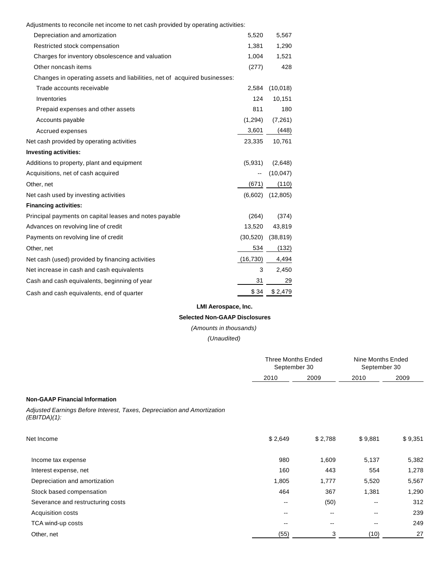Adjustments to reconcile net income to net cash provided by operating activities:

| Depreciation and amortization                                            | 5,520     | 5,567     |
|--------------------------------------------------------------------------|-----------|-----------|
| Restricted stock compensation                                            | 1,381     | 1,290     |
| Charges for inventory obsolescence and valuation                         | 1,004     | 1,521     |
| Other noncash items                                                      | (277)     | 428       |
| Changes in operating assets and liabilities, net of acquired businesses: |           |           |
| Trade accounts receivable                                                | 2.584     | (10,018)  |
| Inventories                                                              | 124       | 10,151    |
| Prepaid expenses and other assets                                        | 811       | 180       |
| Accounts payable                                                         | (1,294)   | (7,261)   |
| Accrued expenses                                                         | 3,601     | (448)     |
| Net cash provided by operating activities                                | 23,335    | 10,761    |
| <b>Investing activities:</b>                                             |           |           |
| Additions to property, plant and equipment                               | (5,931)   | (2,648)   |
| Acquisitions, net of cash acquired                                       |           | (10, 047) |
| Other, net                                                               | (671)     | (110)     |
| Net cash used by investing activities                                    | (6,602)   | (12, 805) |
| <b>Financing activities:</b>                                             |           |           |
| Principal payments on capital leases and notes payable                   | (264)     | (374)     |
| Advances on revolving line of credit                                     | 13,520    | 43,819    |
| Payments on revolving line of credit                                     | (30, 520) | (38, 819) |
| Other, net                                                               | 534       | (132)     |
| Net cash (used) provided by financing activities                         | (16,730)  | 4,494     |
| Net increase in cash and cash equivalents                                | 3         | 2,450     |
| Cash and cash equivalents, beginning of year                             | 31        | 29        |
| Cash and cash equivalents, end of quarter                                | \$34      | \$2,479   |
|                                                                          |           |           |

# **LMI Aerospace, Inc.**

# **Selected Non-GAAP Disclosures**

(Amounts in thousands)

(Unaudited)

|                                                                                            | Three Months Ended<br>September 30 |         | Nine Months Ended<br>September 30 |         |
|--------------------------------------------------------------------------------------------|------------------------------------|---------|-----------------------------------|---------|
|                                                                                            | 2010                               | 2009    | 2010                              | 2009    |
| <b>Non-GAAP Financial Information</b>                                                      |                                    |         |                                   |         |
| Adjusted Earnings Before Interest, Taxes, Depreciation and Amortization<br>$(EBITDA)(1)$ : |                                    |         |                                   |         |
| Net Income                                                                                 | \$2,649                            | \$2,788 | \$9,881                           | \$9,351 |
| Income tax expense                                                                         | 980                                | 1,609   | 5,137                             | 5,382   |
| Interest expense, net                                                                      | 160                                | 443     | 554                               | 1,278   |
| Depreciation and amortization                                                              | 1,805                              | 1,777   | 5,520                             | 5,567   |
| Stock based compensation                                                                   | 464                                | 367     | 1,381                             | 1,290   |
| Severance and restructuring costs                                                          | $- -$                              | (50)    |                                   | 312     |
| Acquisition costs                                                                          | --                                 | --      |                                   | 239     |
| TCA wind-up costs                                                                          | $\overline{\phantom{a}}$           | --      | $\overline{\phantom{m}}$          | 249     |
| Other, net                                                                                 | (55)                               | 3       | (10)                              | 27      |